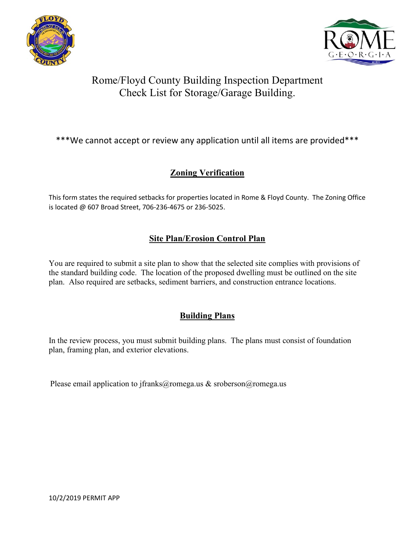



# Rome/Floyd County Building Inspection Department Check List for Storage/Garage Building.

### \*\*\*We cannot accept or review any application until all items are provided\*\*\*

### **Zoning Verification**

This form states the required setbacks for properties located in Rome & Floyd County. The Zoning Office is located @ 607 Broad Street, 706-236-4675 or 236-5025.

### **Site Plan/Erosion Control Plan**

You are required to submit a site plan to show that the selected site complies with provisions of the standard building code. The location of the proposed dwelling must be outlined on the site plan. Also required are setbacks, sediment barriers, and construction entrance locations.

### **Building Plans**

In the review process, you must submit building plans. The plans must consist of foundation plan, framing plan, and exterior elevations.

Please email application to jfranks@romega.us & sroberson@romega.us